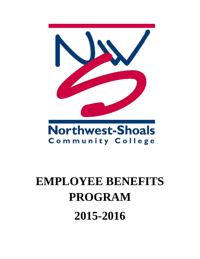

# Community College

## **EMPLOYEE BENEFITS PROGRAM 2015-2016**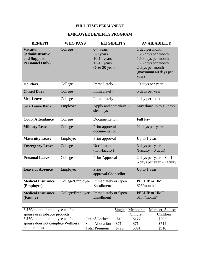#### **FULL-TIME PERMANENT**

#### **EMPLOYEE BENEFITS PROGRAM**

| <b>BENEFIT</b>                                                              | <b>WHO PAYS</b>  | <b>ELIGIBILITY</b>                                                          | <b>AVAILABILITY</b>                                                                                                                       |
|-----------------------------------------------------------------------------|------------------|-----------------------------------------------------------------------------|-------------------------------------------------------------------------------------------------------------------------------------------|
| <b>Vacation</b><br>(Administrative<br>and Support<br><b>Personnel Only)</b> | College          | $0-4$ years<br>5-9 years<br>$10-14$ years<br>$15-19$ years<br>Over 20 years | 1 day per month<br>1.25 days per month<br>1.50 days per month<br>1.75 days per month<br>2 days per month<br>(maximum 60 days per<br>year) |
| <b>Holidays</b>                                                             | College          | Immediately                                                                 | 10 days per year                                                                                                                          |
| <b>Closed Days</b>                                                          | College          | Immediately                                                                 | 5 days per year                                                                                                                           |
| <b>Sick Leave</b>                                                           | College          | Immediately                                                                 | 1 day per month                                                                                                                           |
| <b>Sick Leave Bank</b>                                                      | Employee         | Apply and contribute 5<br>sick days                                         | May draw up to 15 days                                                                                                                    |
| <b>Court Attendance</b>                                                     | College          | Documentation                                                               | Full Pay                                                                                                                                  |
| <b>Military Leave</b>                                                       | College          | Prior approval<br>documentation                                             | 21 days per year                                                                                                                          |
| <b>Maternity Leave</b>                                                      | Employee         | Prior approval                                                              | Up to 1 year                                                                                                                              |
| <b>Emergency Leave</b>                                                      | College          | Notification<br>(non-faculty)                                               | 3 days per year<br>$(Faculty - 0 days)$                                                                                                   |
| <b>Personal Leave</b>                                                       | College          | Prior Approval                                                              | 2 days per year - Staff<br>5 days per year – Faculty                                                                                      |
| <b>Leave of Absence</b>                                                     | Employee         | Prior<br>approval/Chancellor                                                | Up to 1 year                                                                                                                              |
| <b>Medical Insurance</b><br>(Employee)                                      | College/Employee | <b>Immediately or Open</b><br>Enrollment                                    | PEEHIP or HMO<br>$$15/month*$                                                                                                             |
| <b>Medical Insurance</b><br>(Family)                                        | College/Employee | <b>Immediately or Open</b><br>Enrollment                                    | PEEHIP or HMO<br>\$177/month*                                                                                                             |

| * \$50/month if employee and/or   |                         | Single | $Member +$ | Member, Spouse |
|-----------------------------------|-------------------------|--------|------------|----------------|
| spouse uses tobacco products      |                         |        | Children   | $+$ Children   |
| * \$50/month if employee and/or   | Out-of-Pocket           | \$15   | \$177      | \$202          |
| spouse does not complete Wellness | <b>State Allocation</b> | \$714  | \$714      | \$714          |
| requirements                      | <b>Total Premium</b>    | \$729  | \$891      | \$916          |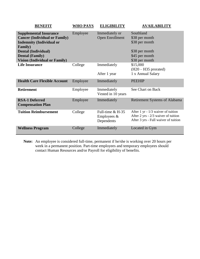| <b>BENEFIT</b>                                                                                                                                                                                                       | <b>WHO PAYS</b> | <b>ELIGIBILITY</b>                                | <b>AVAILABILITY</b>                                                                                                |
|----------------------------------------------------------------------------------------------------------------------------------------------------------------------------------------------------------------------|-----------------|---------------------------------------------------|--------------------------------------------------------------------------------------------------------------------|
| <b>Supplemental Insurance</b><br><b>Cancer (Individual or Family)</b><br><b>Indemnity (Individual or</b><br><b>Family</b> )<br>Dental (Individual)<br><b>Dental (Family)</b><br><b>Vision (Individual or Family)</b> | Employee        | Immediately or<br><b>Open Enrollment</b>          | Southland<br>\$38 per month<br>\$38 per month<br>\$38 per month<br>\$45 per month<br>\$38 per month                |
| <b>Life Insurance</b>                                                                                                                                                                                                | College         | Immediately<br>After 1 year                       | \$15,000<br>$(H20 - H35)$ prorated)<br>1 x Annual Salary                                                           |
| <b>Health Care Flexible Account</b>                                                                                                                                                                                  | Employee        | Immediately                                       | <b>PEEHIP</b>                                                                                                      |
| <b>Retirement</b>                                                                                                                                                                                                    | Employee        | Immediately<br>Vested in 10 years                 | See Chart on Back                                                                                                  |
| <b>RSA-1 Deferred</b><br><b>Compensation Plan</b>                                                                                                                                                                    | Employee        | Immediately                                       | <b>Retirement Systems of Alabama</b>                                                                               |
| <b>Tuition Reimbursement</b>                                                                                                                                                                                         | College         | Full-time $& H-35$<br>Employees $&$<br>Dependents | After 1 yr $-1/3$ waiver of tuition<br>After 2 yrs - 2/3 waiver of tuition<br>After 3 yrs - Full waiver of tuition |
| <b>Wellness Program</b>                                                                                                                                                                                              | College         | Immediately                                       | Located in Gym                                                                                                     |

**Note:** An employee is considered full-time, permanent if he/she is working over 20 hours per week in a permanent position. Part-time employees and temporary employees should contact Human Resources and/or Payroll for eligibility of benefits.